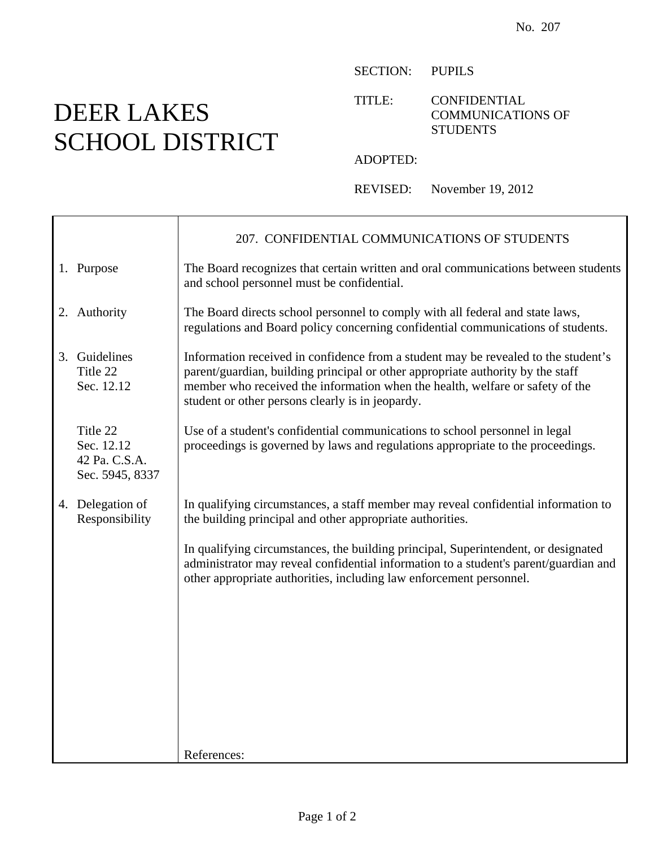## DEER LAKES SCHOOL DISTRICT

 $\mathbf{I}$ 

Г

SECTION: PUPILS

TITLE: CONFIDENTIAL COMMUNICATIONS OF **STUDENTS** 

ADOPTED:

REVISED: November 19, 2012

|                                                            | 207. CONFIDENTIAL COMMUNICATIONS OF STUDENTS                                                                                                                                                                                                                                                               |
|------------------------------------------------------------|------------------------------------------------------------------------------------------------------------------------------------------------------------------------------------------------------------------------------------------------------------------------------------------------------------|
| 1. Purpose                                                 | The Board recognizes that certain written and oral communications between students<br>and school personnel must be confidential.                                                                                                                                                                           |
| 2. Authority                                               | The Board directs school personnel to comply with all federal and state laws,<br>regulations and Board policy concerning confidential communications of students.                                                                                                                                          |
| 3. Guidelines<br>Title 22<br>Sec. 12.12                    | Information received in confidence from a student may be revealed to the student's<br>parent/guardian, building principal or other appropriate authority by the staff<br>member who received the information when the health, welfare or safety of the<br>student or other persons clearly is in jeopardy. |
| Title 22<br>Sec. 12.12<br>42 Pa. C.S.A.<br>Sec. 5945, 8337 | Use of a student's confidential communications to school personnel in legal<br>proceedings is governed by laws and regulations appropriate to the proceedings.                                                                                                                                             |
| 4. Delegation of<br>Responsibility                         | In qualifying circumstances, a staff member may reveal confidential information to<br>the building principal and other appropriate authorities.                                                                                                                                                            |
|                                                            | In qualifying circumstances, the building principal, Superintendent, or designated<br>administrator may reveal confidential information to a student's parent/guardian and<br>other appropriate authorities, including law enforcement personnel.                                                          |
|                                                            |                                                                                                                                                                                                                                                                                                            |
|                                                            |                                                                                                                                                                                                                                                                                                            |
|                                                            |                                                                                                                                                                                                                                                                                                            |
|                                                            | References:                                                                                                                                                                                                                                                                                                |